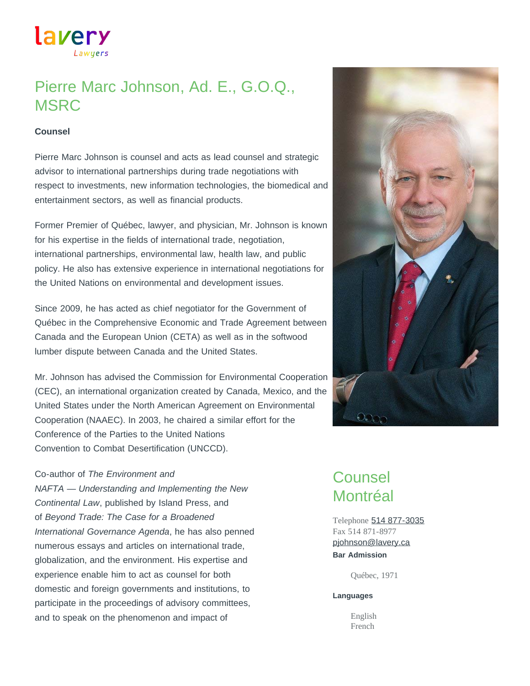Lawyers

lavery

# Pierre Marc Johnson, Ad. E., G.O.Q., MSRC

#### **Counsel**

Pierre Marc Johnson is counsel and acts as lead counsel and strategic advisor to international partnerships during trade negotiations with respect to investments, new information technologies, the biomedical and entertainment sectors, as well as financial products.

Former Premier of Québec, lawyer, and physician, Mr. Johnson is known for his expertise in the fields of international trade, negotiation, international partnerships, environmental law, health law, and public policy. He also has extensive experience in international negotiations for the United Nations on environmental and development issues.

Since 2009, he has acted as chief negotiator for the Government of Québec in the Comprehensive Economic and Trade Agreement between Canada and the European Union (CETA) as well as in the softwood lumber dispute between Canada and the United States.

Mr. Johnson has advised the Commission for Environmental Cooperation (CEC), an international organization created by Canada, Mexico, and the United States under the North American Agreement on Environmental Cooperation (NAAEC). In 2003, he chaired a similar effort for the Conference of the Parties to the United Nations Convention to Combat Desertification (UNCCD).

#### Co-author of *The Environment and*

*NAFTA — Understanding and Implementing the New Continental Law*, published by Island Press, and of *Beyond Trade: The Case for a Broadened International Governance Agenda*, he has also penned numerous essays and articles on international trade, globalization, and the environment. His expertise and experience enable him to act as counsel for both domestic and foreign governments and institutions, to participate in the proceedings of advisory committees, and to speak on the phenomenon and impact of



## Counsel Montréal

Telephone [514 877-3035](tel:514-877-3035) Fax 514 871-8977 **Bar Admission** [pjohnson@lavery.ca](mailto:pjohnson@lavery.ca)

Québec, 1971

#### **Languages**

English French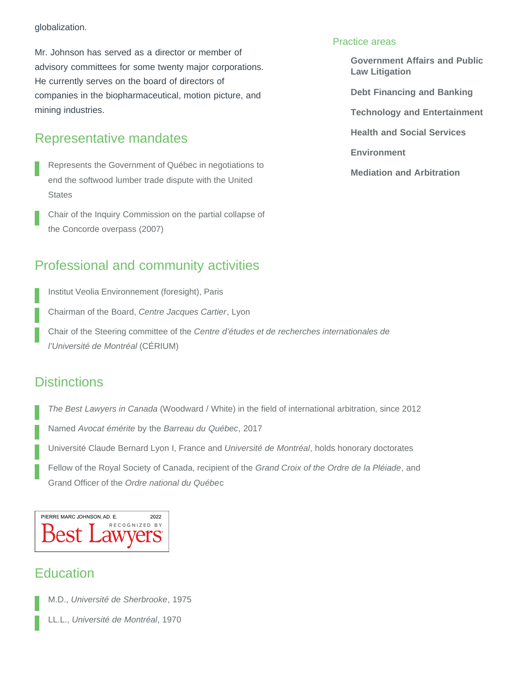#### globalization.

Mr. Johnson has served as a director or member of advisory committees for some twenty major corporations. He currently serves on the board of directors of companies in the biopharmaceutical, motion picture, and mining industries.

### Representative mandates

- Represents the Government of Québec in negotiations to end the softwood lumber trade dispute with the United **States**
- Chair of the Inquiry Commission on the partial collapse of the Concorde overpass (2007)

### Professional and community activities

Institut Veolia Environnement (foresight), Paris

Chairman of the Board, *Centre Jacques Cartier*, Lyon

Chair of the Steering committee of the *Centre d'études et de recherches internationales de l'Université de Montréal* (CÉRIUM)

### **Distinctions**

*The Best Lawyers in Canada* (Woodward / White) in the field of international arbitration, since 2012

Named *Avocat émérite* by the *Barreau du Québec*, 2017

Université Claude Bernard Lyon I, France and *Université de Montréal*, holds honorary doctorates

Fellow of the Royal Society of Canada, recipient of the *Grand Croix of the Ordre de la Pléiade*, and Grand Officer of the *Ordre national du Québe*c

### PIERRE MARC JOHNSON, AD. E. 2022 D RY

## **Education**

M.D., *Université de Sherbrooke*, 1975

LL.L., *Université de Montréal*, 1970

### Practice areas

**[Government Affairs and Public](https://www.lavery.ca/en/legal-services-expertise/279-government-affairs-and-public-law-litigation.html) [Law Litigation](https://www.lavery.ca/en/legal-services-expertise/279-government-affairs-and-public-law-litigation.html)**

**[Debt Financing and Banking](https://www.lavery.ca/en/legal-services-expertise/303-debt-financing-and-banking.html)**

**[Technology and Entertainment](https://www.lavery.ca/en/legal-services-expertise/325-technology-and-entertainment.html)**

**[Health and Social Services](https://www.lavery.ca/en/legal-services-expertise/323-health-and-social-services.html)**

**[Environment](https://www.lavery.ca/en/legal-services-expertise/353-environment.html)**

**[Mediation and Arbitration](https://www.lavery.ca/en/legal-services-expertise/371-mediation-and-arbitration-alternative-processes-of-dispute-prevention-and-conflict-resolution-prd.html)**